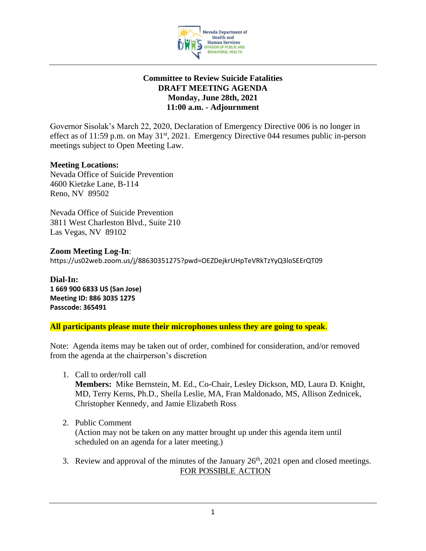

### **Committee to Review Suicide Fatalities DRAFT MEETING AGENDA Monday, June 28th, 2021 11:00 a.m. - Adjournment**

Governor Sisolak's March 22, 2020, Declaration of Emergency Directive 006 is no longer in effect as of 11:59 p.m. on May 31<sup>st</sup>, 2021. Emergency Directive 044 resumes public in-person meetings subject to Open Meeting Law.

### **Meeting Locations:**

Nevada Office of Suicide Prevention 4600 Kietzke Lane, B-114 Reno, NV 89502

Nevada Office of Suicide Prevention 3811 West Charleston Blvd., Suite 210 Las Vegas, NV 89102

**Zoom Meeting Log-In**: https://us02web.zoom.us/j/88630351275?pwd=OEZDejkrUHpTeVRkTzYyQ3loSEErQT09

**Dial-In: 1 669 900 6833 US (San Jose) Meeting ID: 886 3035 1275 Passcode: 365491**

**All participants please mute their microphones unless they are going to speak**.

Note: Agenda items may be taken out of order, combined for consideration, and/or removed from the agenda at the chairperson's discretion

1. Call to order/roll call

**Members:** Mike Bernstein, M. Ed., Co-Chair, Lesley Dickson, MD, Laura D. Knight, MD, Terry Kerns, Ph.D., Sheila Leslie, MA, Fran Maldonado, MS, Allison Zednicek, Christopher Kennedy, and Jamie Elizabeth Ross

2. Public Comment

(Action may not be taken on any matter brought up under this agenda item until scheduled on an agenda for a later meeting.)

3. Review and approval of the minutes of the January  $26<sup>th</sup>$ , 2021 open and closed meetings. FOR POSSIBLE ACTION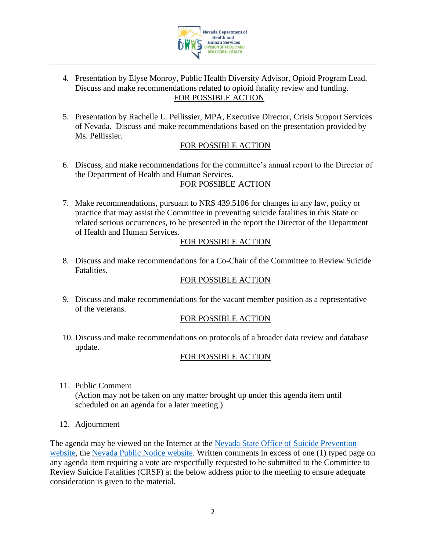

- 4. Presentation by Elyse Monroy, Public Health Diversity Advisor, Opioid Program Lead. Discuss and make recommendations related to opioid fatality review and funding. FOR POSSIBLE ACTION
- 5. Presentation by Rachelle L. Pellissier, MPA, Executive Director, Crisis Support Services of Nevada. Discuss and make recommendations based on the presentation provided by Ms. Pellissier.

# FOR POSSIBLE ACTION

6. Discuss, and make recommendations for the committee's annual report to the Director of the Department of Health and Human Services.

# FOR POSSIBLE ACTION

7. Make recommendations, pursuant to NRS 439.5106 for changes in any law, policy or practice that may assist the Committee in preventing suicide fatalities in this State or related serious occurrences, to be presented in the report the Director of the Department of Health and Human Services.

## FOR POSSIBLE ACTION

8. Discuss and make recommendations for a Co-Chair of the Committee to Review Suicide Fatalities.

## FOR POSSIBLE ACTION

9. Discuss and make recommendations for the vacant member position as a representative of the veterans.

### FOR POSSIBLE ACTION

10. Discuss and make recommendations on protocols of a broader data review and database update.

### FOR POSSIBLE ACTION

11. Public Comment

(Action may not be taken on any matter brought up under this agenda item until scheduled on an agenda for a later meeting.)

12. Adjournment

The agenda may be viewed on the Internet at the Nevada State Office of Suicide Prevention [website,](http://suicideprevention.nv.gov/) the [Nevada Public Notice website.](https://notice.nv.gov/) Written comments in excess of one (1) typed page on any agenda item requiring a vote are respectfully requested to be submitted to the Committee to Review Suicide Fatalities (CRSF) at the below address prior to the meeting to ensure adequate consideration is given to the material.